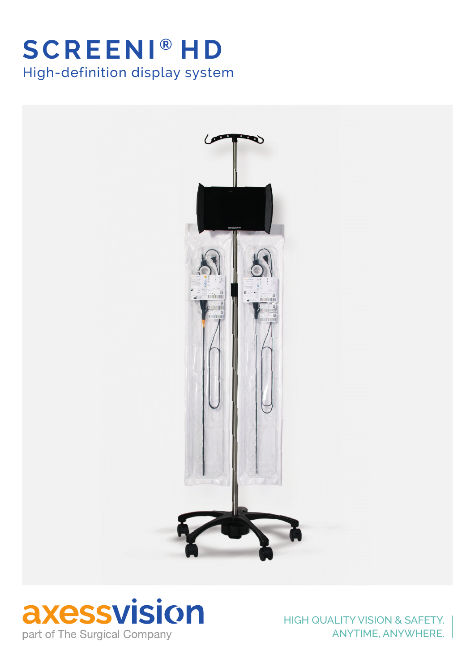# **SCREENI ® H D** High-definition display system





HIGH QUALITY VISION & SAFETY. ANYTIME, ANYWHERE.